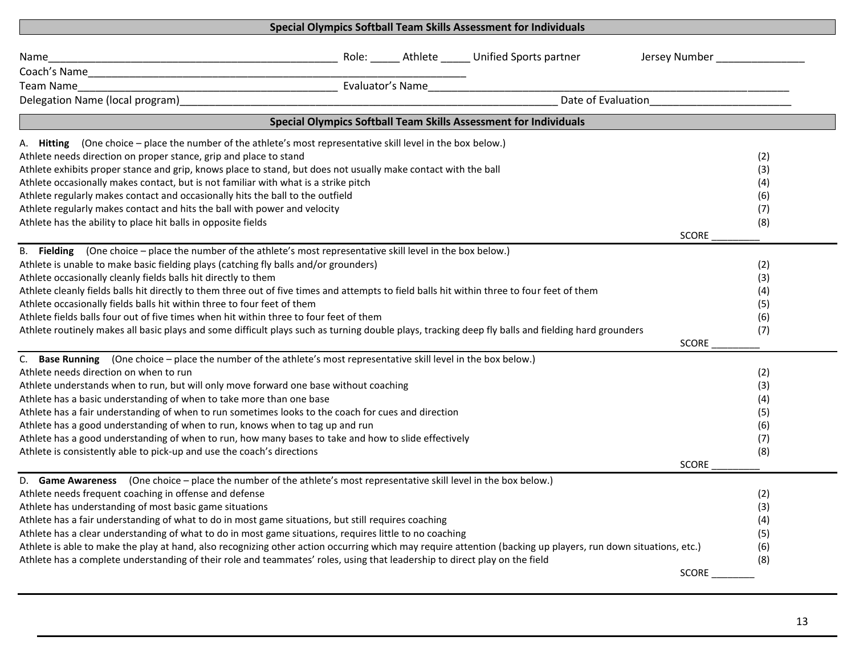| Special Olympics Softball Team Skills Assessment for Individuals                                                                                              |                                              |  |
|---------------------------------------------------------------------------------------------------------------------------------------------------------------|----------------------------------------------|--|
| Role: _____ Athlete _____ Unified Sports partner<br>Name                                                                                                      | Jersey Number <b>National Accord Paradon</b> |  |
|                                                                                                                                                               |                                              |  |
| Evaluator's Name<br>Team Name                                                                                                                                 |                                              |  |
| Date of Evaluation<br>Late of Evaluation<br>Delegation Name (local program)                                                                                   |                                              |  |
| Special Olympics Softball Team Skills Assessment for Individuals                                                                                              |                                              |  |
| A. Hitting (One choice – place the number of the athlete's most representative skill level in the box below.)                                                 |                                              |  |
| Athlete needs direction on proper stance, grip and place to stand                                                                                             | (2)                                          |  |
| Athlete exhibits proper stance and grip, knows place to stand, but does not usually make contact with the ball                                                | (3)                                          |  |
| Athlete occasionally makes contact, but is not familiar with what is a strike pitch                                                                           | (4)                                          |  |
| Athlete regularly makes contact and occasionally hits the ball to the outfield                                                                                | (6)                                          |  |
| Athlete regularly makes contact and hits the ball with power and velocity                                                                                     | (7)                                          |  |
| Athlete has the ability to place hit balls in opposite fields                                                                                                 | (8)                                          |  |
|                                                                                                                                                               | <b>SCORE</b>                                 |  |
| B. Fielding (One choice – place the number of the athlete's most representative skill level in the box below.)                                                |                                              |  |
| Athlete is unable to make basic fielding plays (catching fly balls and/or grounders)                                                                          | (2)                                          |  |
| Athlete occasionally cleanly fields balls hit directly to them                                                                                                | (3)                                          |  |
| Athlete cleanly fields balls hit directly to them three out of five times and attempts to field balls hit within three to four feet of them                   | (4)                                          |  |
| Athlete occasionally fields balls hit within three to four feet of them                                                                                       | (5)                                          |  |
| Athlete fields balls four out of five times when hit within three to four feet of them                                                                        | (6)                                          |  |
| Athlete routinely makes all basic plays and some difficult plays such as turning double plays, tracking deep fly balls and fielding hard grounders            | (7)<br><b>SCORE</b>                          |  |
|                                                                                                                                                               |                                              |  |
| C. Base Running (One choice - place the number of the athlete's most representative skill level in the box below.)<br>Athlete needs direction on when to run  | (2)                                          |  |
| Athlete understands when to run, but will only move forward one base without coaching                                                                         | (3)                                          |  |
| Athlete has a basic understanding of when to take more than one base                                                                                          | (4)                                          |  |
| Athlete has a fair understanding of when to run sometimes looks to the coach for cues and direction                                                           | (5)                                          |  |
| Athlete has a good understanding of when to run, knows when to tag up and run                                                                                 | (6)                                          |  |
| Athlete has a good understanding of when to run, how many bases to take and how to slide effectively                                                          | (7)                                          |  |
| Athlete is consistently able to pick-up and use the coach's directions                                                                                        | (8)                                          |  |
|                                                                                                                                                               | <b>SCORE</b>                                 |  |
| D. Game Awareness (One choice - place the number of the athlete's most representative skill level in the box below.)                                          |                                              |  |
| Athlete needs frequent coaching in offense and defense                                                                                                        | (2)                                          |  |
| Athlete has understanding of most basic game situations                                                                                                       | (3)                                          |  |
| Athlete has a fair understanding of what to do in most game situations, but still requires coaching                                                           | (4)                                          |  |
| Athlete has a clear understanding of what to do in most game situations, requires little to no coaching                                                       | (5)                                          |  |
| Athlete is able to make the play at hand, also recognizing other action occurring which may require attention (backing up players, run down situations, etc.) | (6)                                          |  |
| Athlete has a complete understanding of their role and teammates' roles, using that leadership to direct play on the field                                    | (8)                                          |  |
|                                                                                                                                                               | SCORE                                        |  |